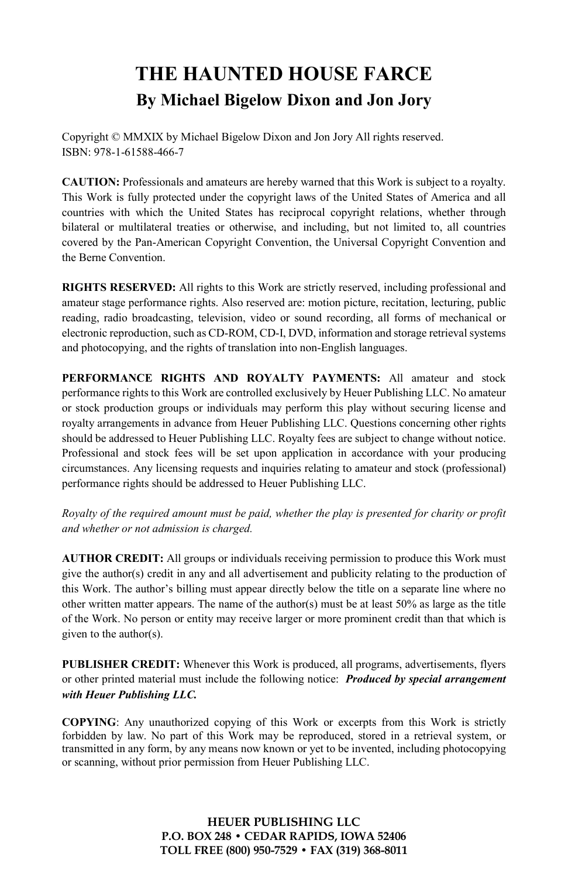# **THE HAUNTED HOUSE FARCE By Michael Bigelow Dixon and Jon Jory**

Copyright © MMXIX by Michael Bigelow Dixon and Jon Jory All rights reserved. ISBN: 978-1-61588-466-7

**CAUTION:** Professionals and amateurs are hereby warned that this Work is subject to a royalty. This Work is fully protected under the copyright laws of the United States of America and all countries with which the United States has reciprocal copyright relations, whether through bilateral or multilateral treaties or otherwise, and including, but not limited to, all countries covered by the Pan-American Copyright Convention, the Universal Copyright Convention and the Berne Convention.

**RIGHTS RESERVED:** All rights to this Work are strictly reserved, including professional and amateur stage performance rights. Also reserved are: motion picture, recitation, lecturing, public reading, radio broadcasting, television, video or sound recording, all forms of mechanical or electronic reproduction, such as CD-ROM, CD-I, DVD, information and storage retrieval systems and photocopying, and the rights of translation into non-English languages.

**PERFORMANCE RIGHTS AND ROYALTY PAYMENTS:** All amateur and stock performance rights to this Work are controlled exclusively by Heuer Publishing LLC. No amateur or stock production groups or individuals may perform this play without securing license and royalty arrangements in advance from Heuer Publishing LLC. Questions concerning other rights should be addressed to Heuer Publishing LLC. Royalty fees are subject to change without notice. Professional and stock fees will be set upon application in accordance with your producing circumstances. Any licensing requests and inquiries relating to amateur and stock (professional) performance rights should be addressed to Heuer Publishing LLC.

*Royalty of the required amount must be paid, whether the play is presented for charity or profit and whether or not admission is charged.*

**AUTHOR CREDIT:** All groups or individuals receiving permission to produce this Work must give the author(s) credit in any and all advertisement and publicity relating to the production of this Work. The author's billing must appear directly below the title on a separate line where no other written matter appears. The name of the author(s) must be at least  $50\%$  as large as the title of the Work. No person or entity may receive larger or more prominent credit than that which is given to the author(s).

**PUBLISHER CREDIT:** Whenever this Work is produced, all programs, advertisements, flyers or other printed material must include the following notice: *Produced by special arrangement with Heuer Publishing LLC.*

**COPYING**: Any unauthorized copying of this Work or excerpts from this Work is strictly forbidden by law. No part of this Work may be reproduced, stored in a retrieval system, or transmitted in any form, by any means now known or yet to be invented, including photocopying or scanning, without prior permission from Heuer Publishing LLC.

> **HEUER PUBLISHING LLC P.O. BOX 248 • CEDAR RAPIDS, IOWA 52406 TOLL FREE (800) 950-7529 • FAX (319) 368-8011**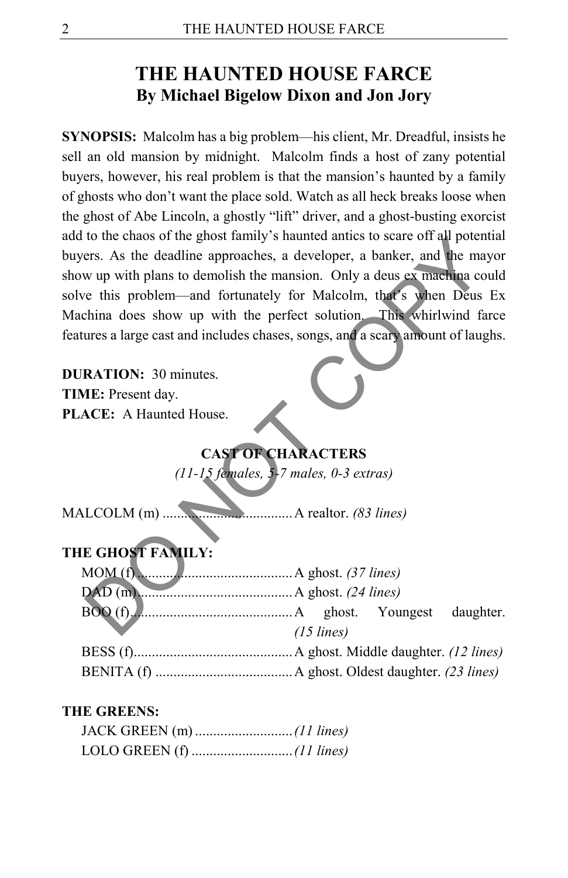# **THE HAUNTED HOUSE FARCE By Michael Bigelow Dixon and Jon Jory**

**SYNOPSIS:** Malcolm has a big problem—his client, Mr. Dreadful, insists he sell an old mansion by midnight. Malcolm finds a host of zany potential buyers, however, his real problem is that the mansion's haunted by a family of ghosts who don't want the place sold. Watch as all heck breaks loose when the ghost of Abe Lincoln, a ghostly "lift" driver, and a ghost-busting exorcist add to the chaos of the ghost family's haunted antics to scare off all potential buyers. As the deadline approaches, a developer, a banker, and the mayor show up with plans to demolish the mansion. Only a deus ex machina could solve this problem––and fortunately for Malcolm, that's when Deus Ex Machina does show up with the perfect solution. This whirlwind farce features a large cast and includes chases, songs, and a scary amount of laughs. to the chaos of the gnost tarmly s haunted anties to scare of an poter<br>
or the deadline approaches, a developer, a banker, and the maximum wind with plans to demolish the manison. Only a deus exmediana cor<br>
e this problem—

**DURATION:** 30 minutes. **TIME:** Present day. **PLACE:** A Haunted House.

## **CAST OF CHARACTERS**

*(11-15 females, 5-7 males, 0-3 extras)* 

MALCOLM (m) ....................................A realtor. *(83 lines)*

### **THE GHOST FAMILY:**

| $BOO(f).$ $\qquad$ $\qquad$ $\qquad$ $\qquad$ $\qquad$ $\qquad$ $\qquad$ $\qquad$ $\qquad$ $\qquad$ $\qquad$ $\qquad$ $\qquad$ $\qquad$ $\qquad$ $\qquad$ $\qquad$ $\qquad$ $\qquad$ $\qquad$ $\qquad$ $\qquad$ $\qquad$ $\qquad$ $\qquad$ $\qquad$ $\qquad$ $\qquad$ $\qquad$ $\qquad$ $\qquad$ $\qquad$ $\qquad$ $\qquad$ $\qquad$ $\qquad$ |                      |  |
|-----------------------------------------------------------------------------------------------------------------------------------------------------------------------------------------------------------------------------------------------------------------------------------------------------------------------------------------------|----------------------|--|
|                                                                                                                                                                                                                                                                                                                                               | $(15 \text{ lines})$ |  |

#### **THE GREENS:**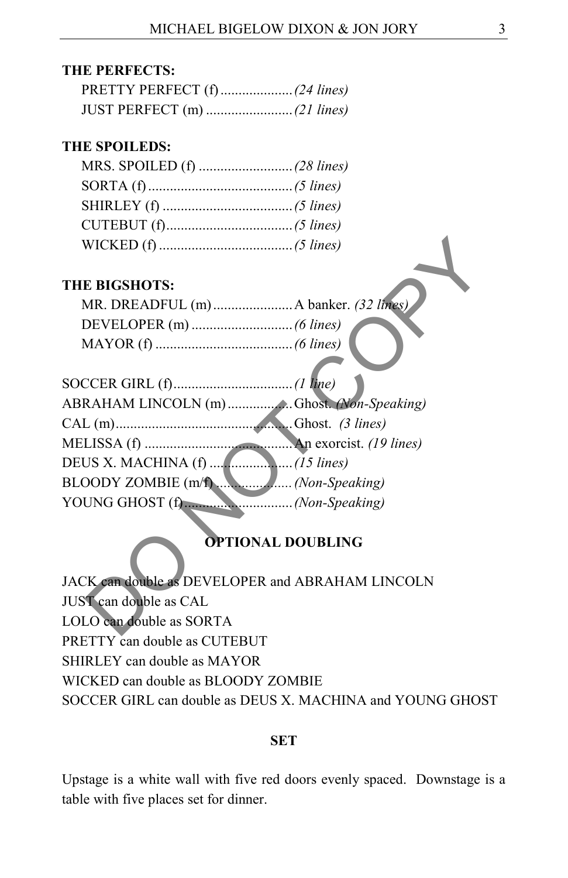#### **THE PERFECTS:**

#### **THE SPOILEDS:**

#### **THE BIGSHOTS:**

| MR. DREADFUL (m)  A banker. (32 lines) |  |
|----------------------------------------|--|
|                                        |  |
|                                        |  |

| <b>THE BIGSHOTS:</b>                             |
|--------------------------------------------------|
|                                                  |
|                                                  |
|                                                  |
|                                                  |
| ABRAHAM LINCOLN (m) Chost. (Non-Speaking)        |
|                                                  |
|                                                  |
|                                                  |
|                                                  |
|                                                  |
| <b>OPTIONAL DOUBLING</b>                         |
| JACK can double as DEVELOPER and ABRAHAM LINCOLN |
| JUST can double as CAL                           |
| LOLO can double as SORTA                         |
|                                                  |

### **OPTIONAL DOUBLING**

JACK can double as DEVELOPER and ABRAHAM LINCOLN JUST can double as CAL LOLO can double as SORTA PRETTY can double as CUTEBUT SHIRLEY can double as MAYOR WICKED can double as BLOODY ZOMBIE SOCCER GIRL can double as DEUS X. MACHINA and YOUNG GHOST

#### **SET**

Upstage is a white wall with five red doors evenly spaced. Downstage is a table with five places set for dinner.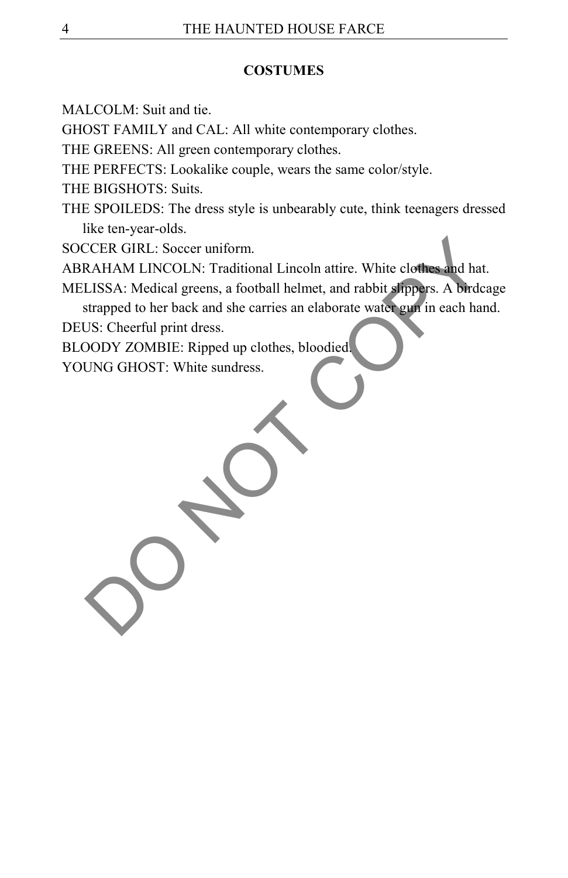#### **COSTUMES**

MALCOLM: Suit and tie.

GHOST FAMILY and CAL: All white contemporary clothes.

THE GREENS: All green contemporary clothes.

THE PERFECTS: Lookalike couple, wears the same color/style.

THE BIGSHOTS: Suits.

THE SPOILEDS: The dress style is unbearably cute, think teenagers dressed like ten-year-olds.

SOCCER GIRL: Soccer uniform.

ABRAHAM LINCOLN: Traditional Lincoln attire. White clothes and hat.

MELISSA: Medical greens, a football helmet, and rabbit slippers. A birdcage strapped to her back and she carries an elaborate water gun in each hand. CEER GIRL: Soccer uniform.<br>RAHAM LINCOLN: Traditional Lincoln attire. White clothes and hat<br>LISSA: Medical greens, a football helmet, and rabbit slippers. A birdc<br>strapped to her back and she carries an elaborate water gun

DEUS: Cheerful print dress.

BLOODY ZOMBIE: Ripped up clothes, bloodied.

YOUNG GHOST: White sundress.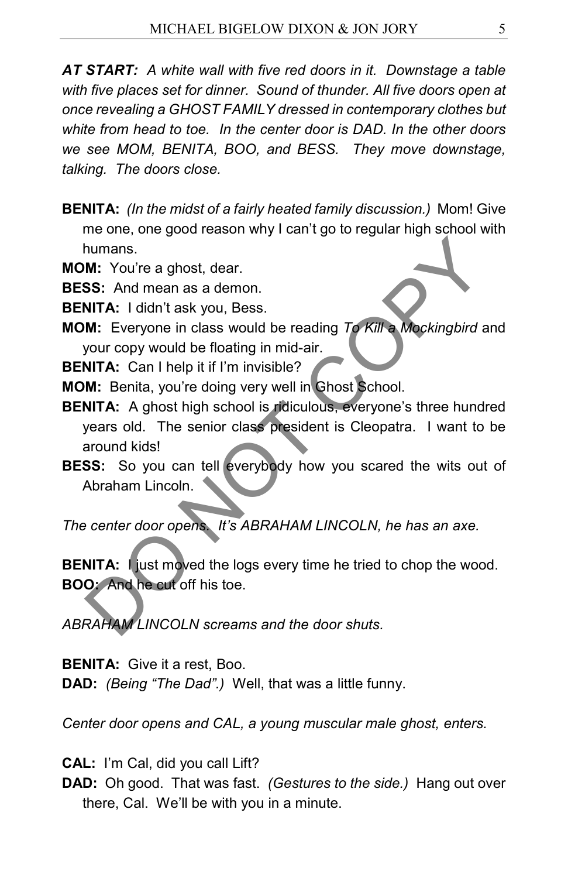*AT START: A white wall with five red doors in it. Downstage a table with five places set for dinner. Sound of thunder. All five doors open at once revealing a GHOST FAMILY dressed in contemporary clothes but white from head to toe. In the center door is DAD. In the other doors we see MOM, BENITA, BOO, and BESS. They move downstage, talking. The doors close.*

**BENITA:** *(In the midst of a fairly heated family discussion.)* Mom! Give me one, one good reason why I can't go to regular high school with humans.

**MOM:** You're a ghost, dear.

**BESS:** And mean as a demon.

**BENITA:** I didn't ask you, Bess.

**MOM:** Everyone in class would be reading *To Kill a Mockingbird* and your copy would be floating in mid-air.

**BENITA:** Can I help it if I'm invisible?

**MOM:** Benita, you're doing very well in Ghost School.

**BENITA:** A ghost high school is ridiculous, everyone's three hundred years old. The senior class president is Cleopatra. I want to be around kids! Numans.<br>
M: You're a ghost, dear.<br>
SS: And mean as a demon.<br>
NITA: I didn't ask you, Bess.<br>
M: Everyone in class would be reading To Kill a Mockingbird a<br>
NOTA: Can I help it if I'm invisible?<br>
M: Benita, you're doing very

**BESS:** So you can tell everybody how you scared the wits out of Abraham Lincoln.

*The center door opens. It's ABRAHAM LINCOLN, he has an axe.*

**BENITA:** I just moved the logs every time he tried to chop the wood. **BOO:** And he cut off his toe.

*ABRAHAM LINCOLN screams and the door shuts.*

**BENITA:** Give it a rest, Boo.

**DAD:** *(Being "The Dad".)* Well, that was a little funny.

*Center door opens and CAL, a young muscular male ghost, enters.*

**CAL:** I'm Cal, did you call Lift?

**DAD:** Oh good. That was fast. *(Gestures to the side.)* Hang out over there, Cal. We'll be with you in a minute.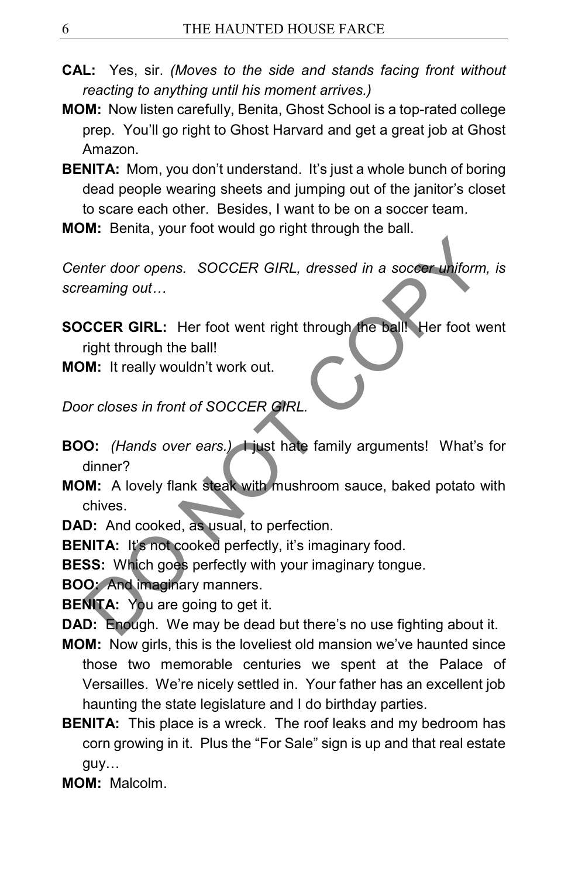- **CAL:** Yes, sir. *(Moves to the side and stands facing front without reacting to anything until his moment arrives.)*
- **MOM:** Now listen carefully, Benita, Ghost School is a top-rated college prep. You'll go right to Ghost Harvard and get a great job at Ghost Amazon.
- **BENITA:** Mom, you don't understand. It's just a whole bunch of boring dead people wearing sheets and jumping out of the janitor's closet to scare each other. Besides, I want to be on a soccer team.
- **MOM:** Benita, your foot would go right through the ball.

*Center door opens. SOCCER GIRL, dressed in a soccer uniform, is screaming out…*

- **SOCCER GIRL:** Her foot went right through the ball! Her foot went right through the ball! Therefore opens. SOCCER GIRL, dressed in a soccer uniform<br>
Seaming out...<br>
CCER GIRL: Her foot went right through the ball! Her foot we<br>
right through the ball!<br>
M: It really wouldn't work out.<br>
D: (Hands over ears.) I jus
- **MOM:** It really wouldn't work out.

*Door closes in front of SOCCER GIRL.*

- **BOO:** *(Hands over ears.)* I just hate family arguments! What's for dinner?
- **MOM:** A lovely flank steak with mushroom sauce, baked potato with chives.

**DAD:** And cooked, as usual, to perfection.

**BENITA:** It's not cooked perfectly, it's imaginary food.

**BESS:** Which goes perfectly with your imaginary tongue.

**BOO:** And imaginary manners.

**BENITA:** You are going to get it.

- **DAD:** Enough. We may be dead but there's no use fighting about it.
- **MOM:** Now girls, this is the loveliest old mansion we've haunted since those two memorable centuries we spent at the Palace of Versailles. We're nicely settled in. Your father has an excellent job haunting the state legislature and I do birthday parties.
- **BENITA:** This place is a wreck. The roof leaks and my bedroom has corn growing in it. Plus the "For Sale" sign is up and that real estate guy…

**MOM:** Malcolm.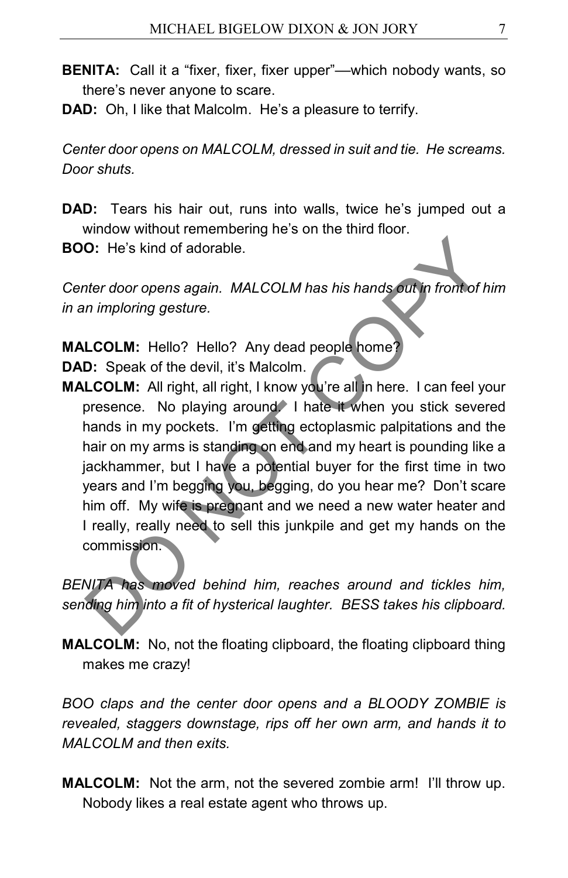- **BENITA:** Call it a "fixer, fixer, fixer upper"—which nobody wants, so there's never anyone to scare.
- **DAD:** Oh, I like that Malcolm. He's a pleasure to terrify.

*Center door opens on MALCOLM, dressed in suit and tie. He screams. Door shuts.*

**DAD:** Tears his hair out, runs into walls, twice he's jumped out a window without remembering he's on the third floor.

**BOO:** He's kind of adorable.

*Center door opens again. MALCOLM has his hands out in front of him in an imploring gesture.*

**MALCOLM:** Hello? Hello? Any dead people home? **DAD:** Speak of the devil, it's Malcolm.

**MALCOLM:** All right, all right, I know you're all in here. I can feel your presence. No playing around. I hate it when you stick severed hands in my pockets. I'm getting ectoplasmic palpitations and the hair on my arms is standing on end and my heart is pounding like a jackhammer, but I have a potential buyer for the first time in two years and I'm begging you, begging, do you hear me? Don't scare him off. My wife is pregnant and we need a new water heater and I really, really need to sell this junkpile and get my hands on the commission. O: He's kind of adorable.<br>
Inter door opens again. MALCOLM has his hands out in frontof in<br>
imploring gesture.<br>
LCOLM: Hello? Hello? Any dead people home?<br>
D: Speak of the devil, it's Malcolm.<br>
LCOLM: All right, all right,

*BENITA has moved behind him, reaches around and tickles him, sending him into a fit of hysterical laughter. BESS takes his clipboard.*

**MALCOLM:** No, not the floating clipboard, the floating clipboard thing makes me crazy!

*BOO claps and the center door opens and a BLOODY ZOMBIE is revealed, staggers downstage, rips off her own arm, and hands it to MALCOLM and then exits.*

**MALCOLM:** Not the arm, not the severed zombie arm! I'll throw up. Nobody likes a real estate agent who throws up.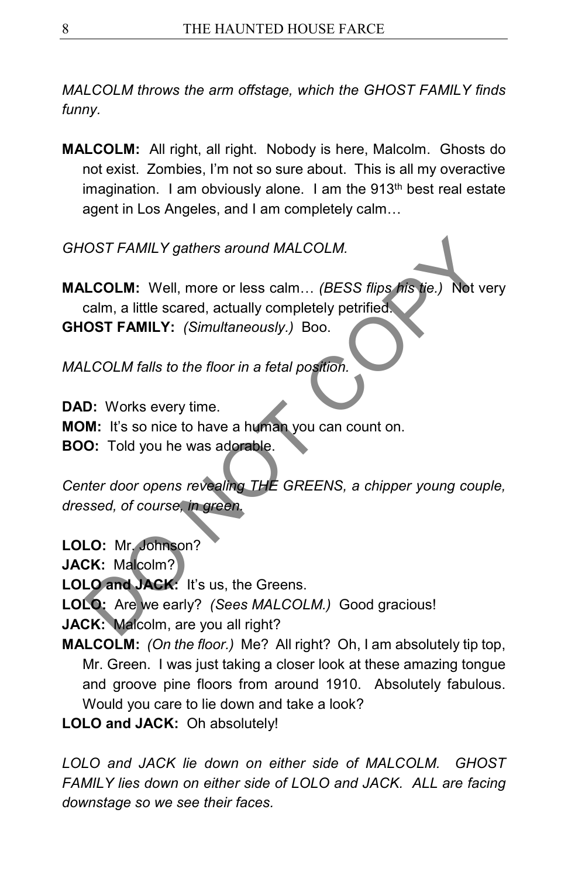*MALCOLM throws the arm offstage, which the GHOST FAMILY finds funny.*

**MALCOLM:** All right, all right. Nobody is here, Malcolm. Ghosts do not exist. Zombies, I'm not so sure about. This is all my overactive imagination. I am obviously alone. I am the  $913<sup>th</sup>$  best real estate agent in Los Angeles, and I am completely calm…

*GHOST FAMILY gathers around MALCOLM.*

**MALCOLM:** Well, more or less calm… *(BESS flips his tie.)* Not very calm, a little scared, actually completely petrified. **GHOST FAMILY:** *(Simultaneously.)* Boo. OST FAMILY gathers around MALCOLM.<br>
LCOLM: Well, more or less calm... (BESS flips his tie.) Not v<br>
calm, a little scared, actually completely petrified.<br>
OST FAMILY: (Simultaneously.) Boo.<br>
LCOLM falls to the floor in a fe

*MALCOLM falls to the floor in a fetal position.*

**DAD:** Works every time.

**MOM:** It's so nice to have a human you can count on.

**BOO:** Told you he was adorable.

*Center door opens revealing THE GREENS, a chipper young couple, dressed, of course, in green.*

**LOLO:** Mr. Johnson?

**JACK:** Malcolm?

**LOLO and JACK:** It's us, the Greens.

**LOLO:** Are we early? *(Sees MALCOLM.)* Good gracious!

**JACK:** Malcolm, are you all right?

**MALCOLM:** *(On the floor.)* Me? All right? Oh, I am absolutely tip top, Mr. Green. I was just taking a closer look at these amazing tongue and groove pine floors from around 1910. Absolutely fabulous. Would you care to lie down and take a look?

**LOLO and JACK:** Oh absolutely!

*LOLO and JACK lie down on either side of MALCOLM. GHOST FAMILY lies down on either side of LOLO and JACK. ALL are facing downstage so we see their faces.*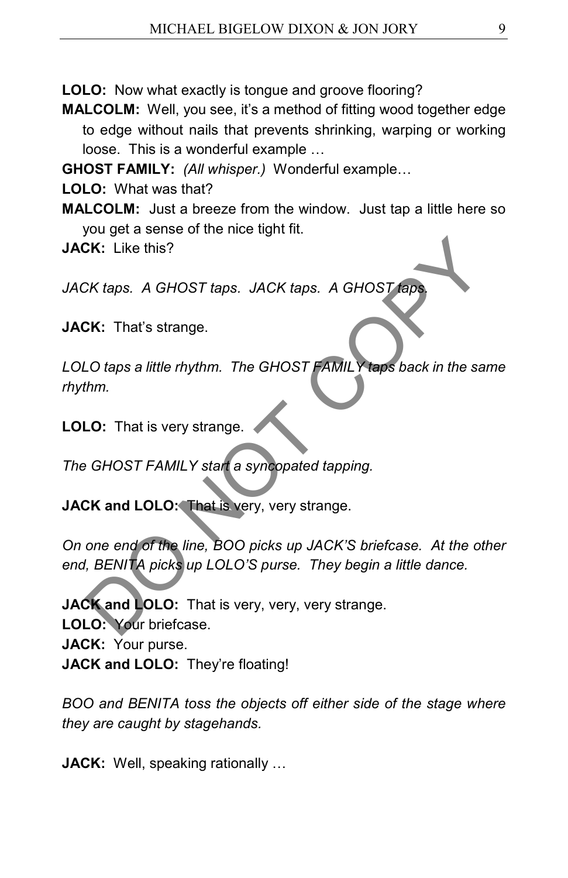**LOLO:** Now what exactly is tongue and groove flooring?

**MALCOLM:** Well, you see, it's a method of fitting wood together edge to edge without nails that prevents shrinking, warping or working loose. This is a wonderful example …

**GHOST FAMILY:** *(All whisper.)* Wonderful example…

**LOLO:** What was that?

**MALCOLM:** Just a breeze from the window. Just tap a little here so you get a sense of the nice tight fit.

**JACK:** Like this?

*JACK taps. A GHOST taps. JACK taps. A GHOST taps.*

**JACK:** That's strange.

*LOLO taps a little rhythm. The GHOST FAMILY taps back in the same rhythm.*

**LOLO:** That is very strange.

*The GHOST FAMILY start a syncopated tapping.*

**JACK and LOLO:** That is very, very strange.

*On one end of the line, BOO picks up JACK'S briefcase. At the other end, BENITA picks up LOLO'S purse. They begin a little dance.* SK: Like this?<br>
CK taps. A GHOST taps. JACK taps. A GHOST taps.<br>
CK: That's strange.<br>
LO taps a little rhythm. The GHOST FAMILY taps back in the sathm.<br>
LO: That is very strange.<br>
CGHOST FAMILY start a syncopated tapping.<br>

**JACK and LOLO:** That is very, very, very strange. **LOLO:** Your briefcase. **JACK:** Your purse. **JACK and LOLO:** They're floating!

*BOO and BENITA toss the objects off either side of the stage where they are caught by stagehands.*

**JACK:** Well, speaking rationally …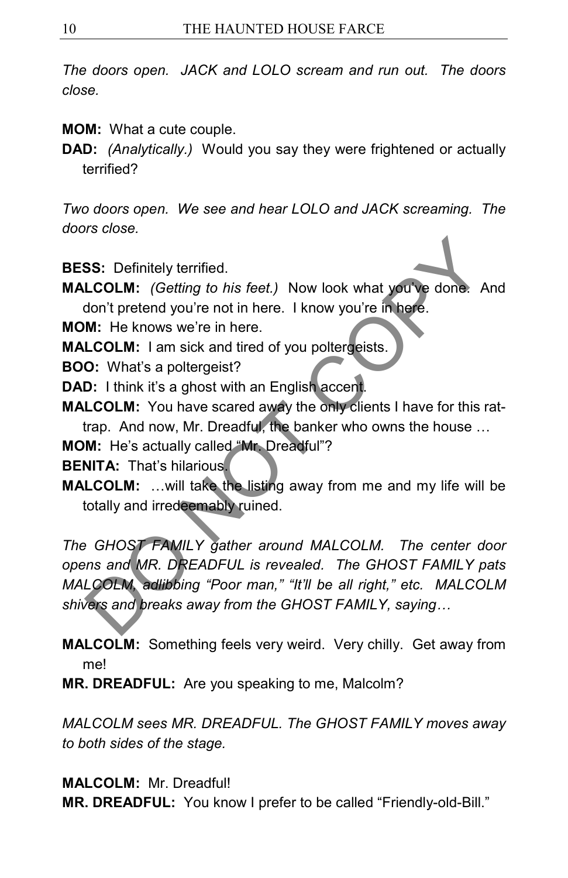*The doors open. JACK and LOLO scream and run out. The doors close.*

**MOM:** What a cute couple.

**DAD:** *(Analytically.)* Would you say they were frightened or actually terrified?

*Two doors open. We see and hear LOLO and JACK screaming. The doors close.*

**BESS:** Definitely terrified.

**MALCOLM:** *(Getting to his feet.)* Now look what you've done. And don't pretend you're not in here. I know you're in here.

**MOM:** He knows we're in here.

**MALCOLM:** I am sick and tired of you poltergeists.

**BOO:** What's a poltergeist?

**DAD:** I think it's a ghost with an English accent.

**MALCOLM:** You have scared away the only clients I have for this rattrap. And now, Mr. Dreadful, the banker who owns the house …

**MOM:** He's actually called "Mr. Dreadful"?

**BENITA: That's hilarious.** 

**MALCOLM:** …will take the listing away from me and my life will be totally and irredeemably ruined.

*The GHOST FAMILY gather around MALCOLM. The center door opens and MR. DREADFUL is revealed. The GHOST FAMILY pats MALCOLM, adlibbing "Poor man," "It'll be all right," etc. MALCOLM shivers and breaks away from the GHOST FAMILY, saying…* SS: Definitely terrified.<br>
LCOLM: (Getting to his feet.) Now look what you've done. A<br>
don't pretend you're not in here. I know you're in here.<br>
M: He knows we're in here.<br>
LCOLM: I am sick and tired of you poltergeists.<br>

**MALCOLM:** Something feels very weird. Very chilly. Get away from me!

**MR. DREADFUL:** Are you speaking to me, Malcolm?

*MALCOLM sees MR. DREADFUL. The GHOST FAMILY moves away to both sides of the stage.*

**MALCOLM:** Mr. Dreadful!

**MR. DREADFUL:** You know I prefer to be called "Friendly-old-Bill."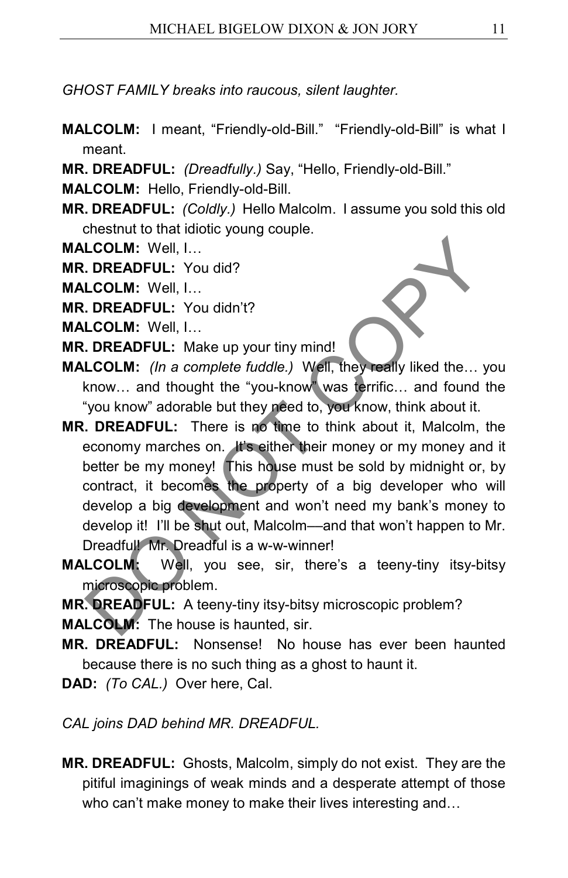*GHOST FAMILY breaks into raucous, silent laughter.*

- **MALCOLM:** I meant, "Friendly-old-Bill." "Friendly-old-Bill" is what I meant.
- **MR. DREADFUL:** *(Dreadfully.)* Say, "Hello, Friendly-old-Bill."

**MALCOLM:** Hello, Friendly-old-Bill.

- **MR. DREADFUL:** *(Coldly.)* Hello Malcolm. I assume you sold this old chestnut to that idiotic young couple.
- **MALCOLM:** Well, I…
- **MR. DREADFUL:** You did?

**MALCOLM:** Well, I…

- **MR. DREADFUL:** You didn't?
- **MALCOLM:** Well, I…
- **MR. DREADFUL:** Make up your tiny mind!
- **MALCOLM:** *(In a complete fuddle.)* Well, they really liked the… you know… and thought the "you-know" was terrific… and found the "you know" adorable but they need to, you know, think about it.
- **MR. DREADFUL:** There is no time to think about it, Malcolm, the economy marches on. It's either their money or my money and it better be my money! This house must be sold by midnight or, by contract, it becomes the property of a big developer who will develop a big development and won't need my bank's money to develop it! I'll be shut out, Malcolm––and that won't happen to Mr. Dreadful! Mr. Dreadful is a w-w-winner! LCOLM: Well, I...<br>
DREADFUL: You did?<br>
LCOLM: Well, I...<br>
DREADFUL: You didn't?<br>
LCOLM: Well, I...<br>
DREADFUL: Make up your tiny mind!<br>
LCOLM: (*In a complete fuddle.*) Well, they really liked the... .<br>
know... and thought
- **MALCOLM:** Well, you see, sir, there's a teeny-tiny itsy-bitsy microscopic problem.
- **MR. DREADFUL:** A teeny-tiny itsy-bitsy microscopic problem?

**MALCOLM:** The house is haunted, sir.

- **MR. DREADFUL:** Nonsense! No house has ever been haunted because there is no such thing as a ghost to haunt it.
- **DAD:** *(To CAL.)* Over here, Cal.
- *CAL joins DAD behind MR. DREADFUL.*
- **MR. DREADFUL:** Ghosts, Malcolm, simply do not exist. They are the pitiful imaginings of weak minds and a desperate attempt of those who can't make money to make their lives interesting and…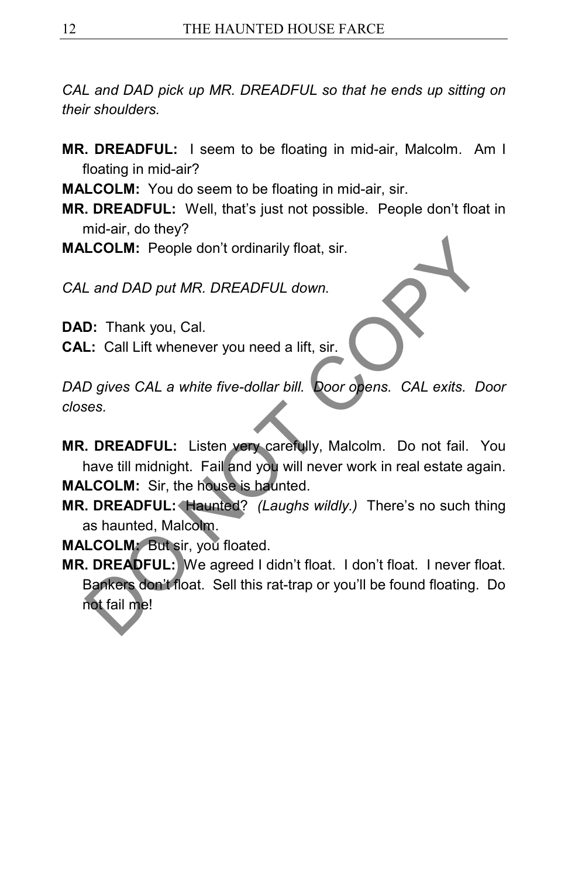*CAL and DAD pick up MR. DREADFUL so that he ends up sitting on their shoulders.*

- **MR. DREADFUL:** I seem to be floating in mid-air, Malcolm. Am I floating in mid-air?
- **MALCOLM:** You do seem to be floating in mid-air, sir.
- **MR. DREADFUL:** Well, that's just not possible. People don't float in mid-air, do they?
- **MALCOLM:** People don't ordinarily float, sir.

*CAL and DAD put MR. DREADFUL down.*

**DAD:** Thank you, Cal.

**CAL:** Call Lift whenever you need a lift, sir.

*DAD gives CAL a white five-dollar bill. Door opens. CAL exits. Door closes.*

**MR. DREADFUL:** Listen very carefully, Malcolm. Do not fail. You have till midnight. Fail and you will never work in real estate again. **MALCOLM:** Sir, the house is haunted.

**MR. DREADFUL:** Haunted? *(Laughs wildly.)* There's no such thing as haunted, Malcolm.

**MALCOLM:** But sir, you floated.

**MR. DREADFUL:** We agreed I didn't float. I don't float. I never float. Bankers don't float. Sell this rat-trap or you'll be found floating. Do not fail me! **Land DAD put MR. DREADFUL down.**<br> **Land DAD put MR. DREADFUL down.**<br> **D:** Thank you, Cal.<br> **L:** Call Lift whenever you need a lift, sir.<br>
D gives CAL a white five-dollar bill. **Door opens.** CAL exits. D<br>
ses.<br> **DREADFUL:**